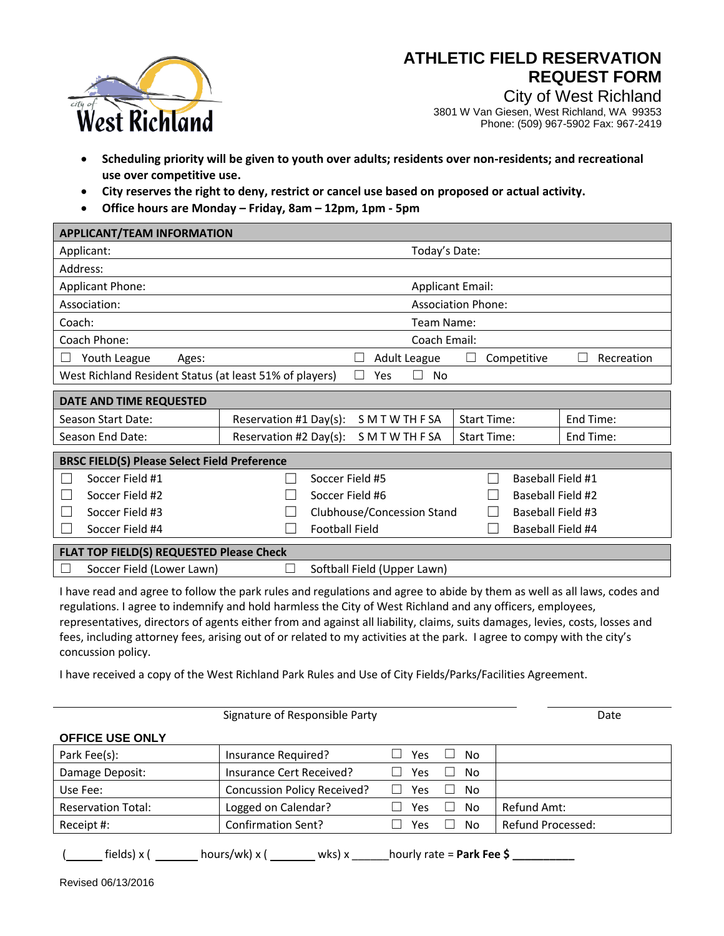

## **ATHLETIC FIELD RESERVATION REQUEST FORM**

City of West Richland 3801 W Van Giesen, West Richland, WA 99353 Phone: (509) 967-5902 Fax: 967-2419

- **Scheduling priority will be given to youth over adults; residents over non-residents; and recreational use over competitive use.**
- **City reserves the right to deny, restrict or cancel use based on proposed or actual activity.**
- **Office hours are Monday – Friday, 8am – 12pm, 1pm - 5pm**

| <b>APPLICANT/TEAM INFORMATION</b>                                           |                                                                              |  |  |  |  |  |
|-----------------------------------------------------------------------------|------------------------------------------------------------------------------|--|--|--|--|--|
| Applicant:                                                                  | Today's Date:                                                                |  |  |  |  |  |
| Address:                                                                    |                                                                              |  |  |  |  |  |
| Applicant Phone:                                                            | <b>Applicant Email:</b>                                                      |  |  |  |  |  |
| Association:                                                                | <b>Association Phone:</b>                                                    |  |  |  |  |  |
| Coach:                                                                      | Team Name:                                                                   |  |  |  |  |  |
| Coach Phone:                                                                | Coach Email:                                                                 |  |  |  |  |  |
| Youth League<br>Ages:                                                       | <b>Adult League</b><br>Competitive<br>Recreation<br>$\Box$                   |  |  |  |  |  |
| West Richland Resident Status (at least 51% of players)<br><b>No</b><br>Yes |                                                                              |  |  |  |  |  |
| DATE AND TIME REQUESTED                                                     |                                                                              |  |  |  |  |  |
| Season Start Date:                                                          | SMTWTHFSA<br><b>Start Time:</b><br>End Time:<br>Reservation #1 Day(s):       |  |  |  |  |  |
| Season End Date:                                                            | Reservation #2 Day(s):<br>S M T W TH F SA<br><b>Start Time:</b><br>End Time: |  |  |  |  |  |
| <b>BRSC FIELD(S) Please Select Field Preference</b>                         |                                                                              |  |  |  |  |  |
| Soccer Field #1                                                             | Baseball Field #1<br>Soccer Field #5                                         |  |  |  |  |  |
| Soccer Field #2                                                             | Baseball Field #2<br>Soccer Field #6                                         |  |  |  |  |  |
| Soccer Field #3                                                             | Baseball Field #3<br>Clubhouse/Concession Stand                              |  |  |  |  |  |
| Soccer Field #4                                                             | <b>Football Field</b><br>Baseball Field #4                                   |  |  |  |  |  |
| FLAT TOP FIELD(S) REQUESTED Please Check                                    |                                                                              |  |  |  |  |  |
|                                                                             |                                                                              |  |  |  |  |  |
|                                                                             |                                                                              |  |  |  |  |  |

I have read and agree to follow the park rules and regulations and agree to abide by them as well as all laws, codes and regulations. I agree to indemnify and hold harmless the City of West Richland and any officers, employees, representatives, directors of agents either from and against all liability, claims, suits damages, levies, costs, losses and fees, including attorney fees, arising out of or related to my activities at the park. I agree to compy with the city's concussion policy.

I have received a copy of the West Richland Park Rules and Use of City Fields/Parks/Facilities Agreement.

|                           | Signature of Responsible Party     |     |          | Date              |
|---------------------------|------------------------------------|-----|----------|-------------------|
| <b>OFFICE USE ONLY</b>    |                                    |     |          |                   |
| Park Fee(s):              | Insurance Required?                | Yes | No       |                   |
| Damage Deposit:           | Insurance Cert Received?           | Yes | No.      |                   |
| Use Fee:                  | <b>Concussion Policy Received?</b> | Yes | No.<br>L |                   |
| <b>Reservation Total:</b> | Logged on Calendar?                | Yes | No       | Refund Amt:       |
| Receipt #:                | Confirmation Sent?                 | Yes | No       | Refund Processed: |
|                           |                                    |     |          |                   |

( fields) x ( hours/wk) x ( wks) x \_\_\_\_\_\_hourly rate = **Park Fee \$ \_\_\_\_\_\_\_\_\_\_**

Revised 06/13/2016